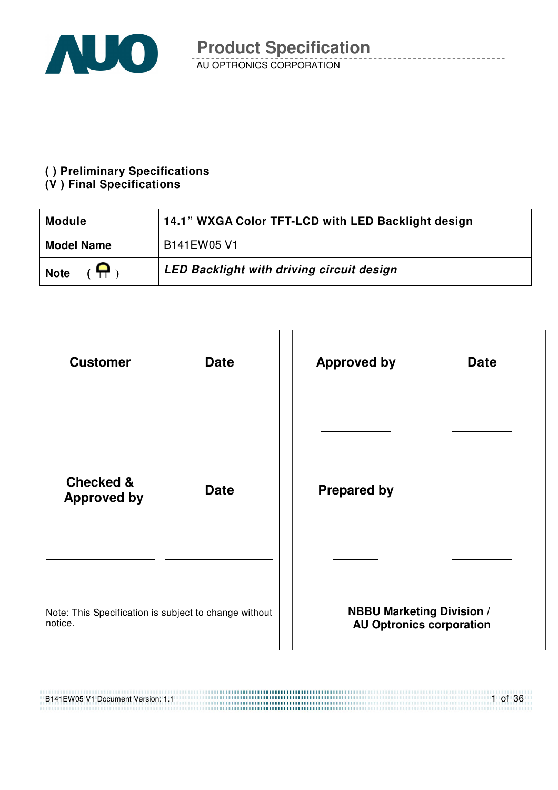

#### **( ) Preliminary Specifications**

#### **(V ) Final Specifications**

| <b>Module</b>                                | 14.1" WXGA Color TFT-LCD with LED Backlight design |
|----------------------------------------------|----------------------------------------------------|
| <b>Model Name</b>                            | B141EW05 V1                                        |
| $\overline{1}$ $\overline{1}$<br><b>Note</b> | <b>LED Backlight with driving circuit design</b>   |



#### B141EW05 V1 Document Version: 1.1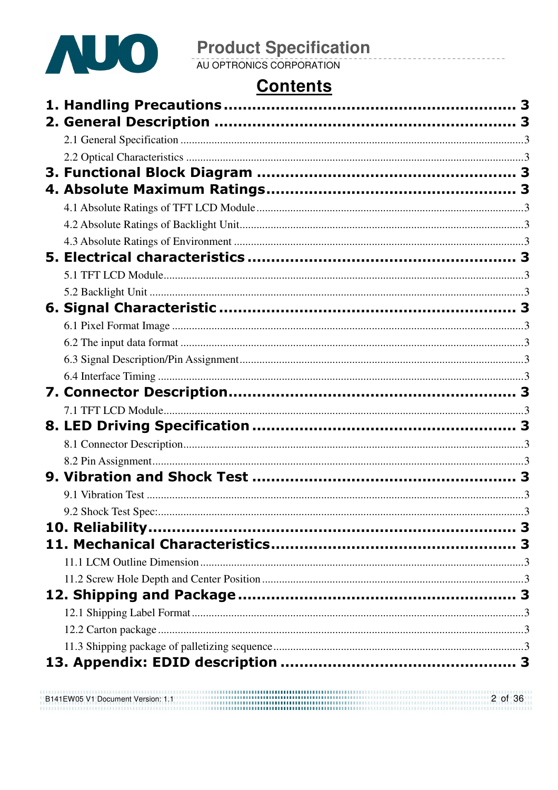

# **Contents**

| B141EW05 V1 Document Version: 1.1 | 2 of 36 |
|-----------------------------------|---------|
|                                   |         |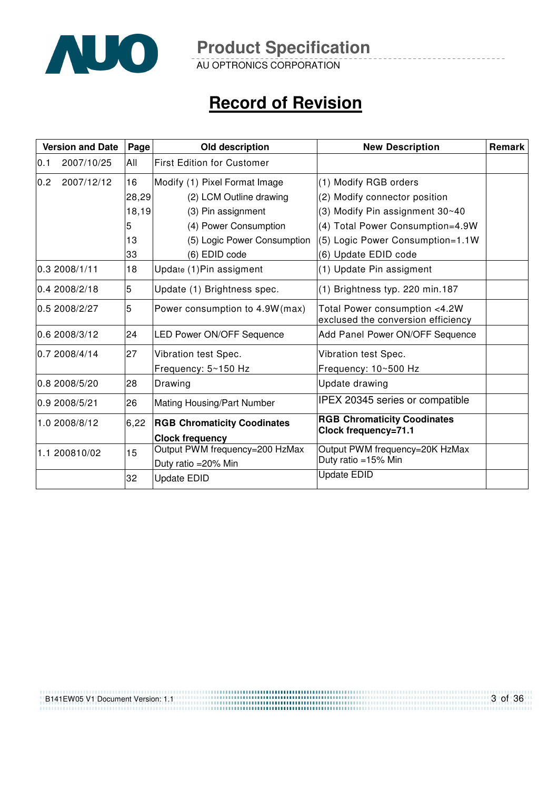

AU OPTRONICS CORPORATION

# **Record of Revision**

| <b>Version and Date</b> | Page  | Old description                                              | <b>New Description</b>                                              | Remark |
|-------------------------|-------|--------------------------------------------------------------|---------------------------------------------------------------------|--------|
| 2007/10/25<br>0.1       | All   | <b>First Edition for Customer</b>                            |                                                                     |        |
| 0.2<br>2007/12/12       | 16    | Modify (1) Pixel Format Image                                | (1) Modify RGB orders                                               |        |
|                         | 28,29 | (2) LCM Outline drawing                                      | (2) Modify connector position                                       |        |
|                         | 18,19 | (3) Pin assignment                                           | (3) Modify Pin assignment 30~40                                     |        |
|                         | 5     | (4) Power Consumption                                        | (4) Total Power Consumption=4.9W                                    |        |
|                         | 13    | (5) Logic Power Consumption                                  | (5) Logic Power Consumption=1.1W                                    |        |
|                         | 33    | (6) EDID code                                                | (6) Update EDID code                                                |        |
| 0.32008/1/11            | 18    | Update (1) Pin assigment                                     | (1) Update Pin assigment                                            |        |
| 0.4 2008/2/18           | 5     | Update (1) Brightness spec.                                  | (1) Brightness typ. 220 min.187                                     |        |
| 0.5 2008/2/27           | 5     | Power consumption to 4.9W(max)                               | Total Power consumption <4.2W<br>exclused the conversion efficiency |        |
| 0.6 2008/3/12           | 24    | <b>LED Power ON/OFF Sequence</b>                             | Add Panel Power ON/OFF Sequence                                     |        |
| 0.7 2008/4/14           | 27    | Vibration test Spec.                                         | Vibration test Spec.                                                |        |
|                         |       | Frequency: 5~150 Hz                                          | Frequency: 10~500 Hz                                                |        |
| 0.8 2008/5/20           | 28    | Drawing                                                      | Update drawing                                                      |        |
| 0.9 2008/5/21           | 26    | Mating Housing/Part Number                                   | <b>IPEX 20345 series or compatible</b>                              |        |
| 1.0 2008/8/12           | 6,22  | <b>RGB Chromaticity Coodinates</b><br><b>Clock frequency</b> | <b>RGB Chromaticity Coodinates</b><br>Clock frequency=71.1          |        |
| 1.1 200810/02           | 15    | Output PWM frequency=200 HzMax                               | Output PWM frequency=20K HzMax                                      |        |
|                         |       | Duty ratio = 20% Min                                         | Duty ratio =15% Min                                                 |        |
|                         | 32    | <b>Update EDID</b>                                           | <b>Update EDID</b>                                                  |        |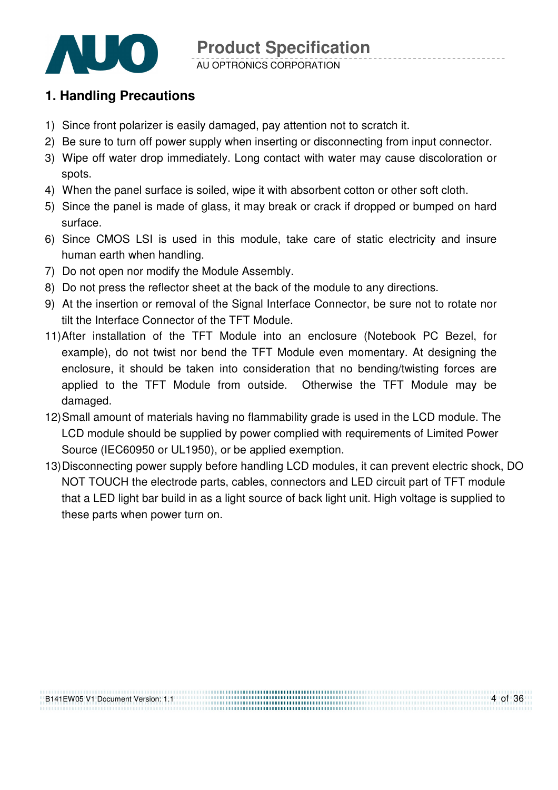

### **1. Handling Precautions**

- 1) Since front polarizer is easily damaged, pay attention not to scratch it.
- 2) Be sure to turn off power supply when inserting or disconnecting from input connector.
- 3) Wipe off water drop immediately. Long contact with water may cause discoloration or spots.
- 4) When the panel surface is soiled, wipe it with absorbent cotton or other soft cloth.
- 5) Since the panel is made of glass, it may break or crack if dropped or bumped on hard surface.
- 6) Since CMOS LSI is used in this module, take care of static electricity and insure human earth when handling.
- 7) Do not open nor modify the Module Assembly.
- 8) Do not press the reflector sheet at the back of the module to any directions.
- 9) At the insertion or removal of the Signal Interface Connector, be sure not to rotate nor tilt the Interface Connector of the TFT Module.
- 11) After installation of the TFT Module into an enclosure (Notebook PC Bezel, for example), do not twist nor bend the TFT Module even momentary. At designing the enclosure, it should be taken into consideration that no bending/twisting forces are applied to the TFT Module from outside. Otherwise the TFT Module may be damaged.
- 12) Small amount of materials having no flammability grade is used in the LCD module. The LCD module should be supplied by power complied with requirements of Limited Power Source (IEC60950 or UL1950), or be applied exemption.
- 13) Disconnecting power supply before handling LCD modules, it can prevent electric shock, DO NOT TOUCH the electrode parts, cables, connectors and LED circuit part of TFT module that a LED light bar build in as a light source of back light unit. High voltage is supplied to these parts when power turn on.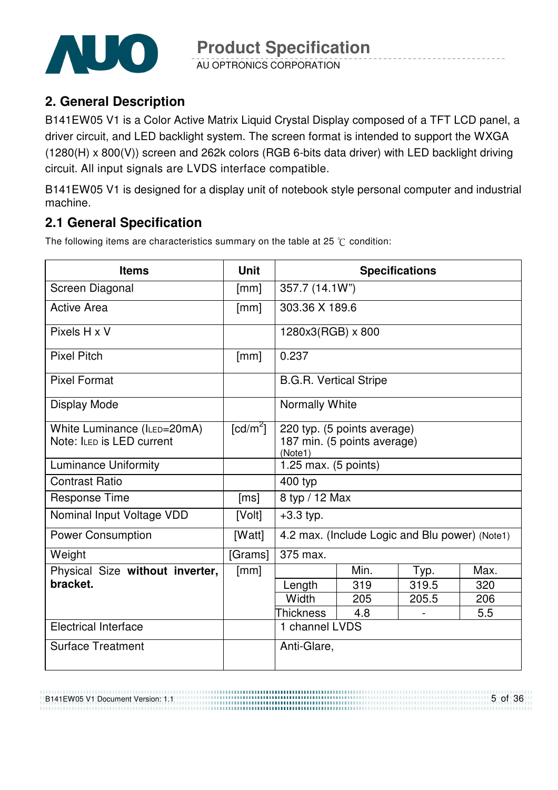

AU OPTRONICS CORPORATION

### **2. General Description**

B141EW05 V1 is a Color Active Matrix Liquid Crystal Display composed of a TFT LCD panel, a driver circuit, and LED backlight system. The screen format is intended to support the WXGA (1280(H) x 800(V)) screen and 262k colors (RGB 6-bits data driver) with LED backlight driving circuit. All input signals are LVDS interface compatible.

B141EW05 V1 is designed for a display unit of notebook style personal computer and industrial machine.

### **2.1 General Specification**

The following items are characteristics summary on the table at 25  $\degree$ C condition:

| <b>Items</b>                    | <b>Unit</b>            |                               | <b>Specifications</b>                          |       |      |
|---------------------------------|------------------------|-------------------------------|------------------------------------------------|-------|------|
| Screen Diagonal                 | [mm]                   | 357.7 (14.1W")                |                                                |       |      |
| <b>Active Area</b>              | [mm]                   | 303.36 X 189.6                |                                                |       |      |
| Pixels H x V                    |                        | 1280x3(RGB) x 800             |                                                |       |      |
| <b>Pixel Pitch</b>              | [mm]                   | 0.237                         |                                                |       |      |
| <b>Pixel Format</b>             |                        | <b>B.G.R. Vertical Stripe</b> |                                                |       |      |
| <b>Display Mode</b>             |                        | Normally White                |                                                |       |      |
| White Luminance (ILED=20mA)     | $\lceil cd/m^2 \rceil$ |                               | 220 typ. (5 points average)                    |       |      |
| Note: ILED is LED current       |                        | (Note1)                       | 187 min. (5 points average)                    |       |      |
| <b>Luminance Uniformity</b>     |                        | 1.25 max. $(5$ points)        |                                                |       |      |
| <b>Contrast Ratio</b>           |                        | 400 typ                       |                                                |       |      |
| <b>Response Time</b>            | [ms]                   | 8 typ / 12 Max                |                                                |       |      |
| Nominal Input Voltage VDD       | [Volt]                 | $+3.3$ typ.                   |                                                |       |      |
| <b>Power Consumption</b>        | [Watt]                 |                               | 4.2 max. (Include Logic and Blu power) (Note1) |       |      |
| Weight                          | [Grams]                | 375 max.                      |                                                |       |      |
| Physical Size without inverter, | [mm]                   |                               | Min.                                           | Typ.  | Max. |
| bracket.                        |                        | Length                        | 319                                            | 319.5 | 320  |
|                                 |                        | Width                         | 205                                            | 205.5 | 206  |
|                                 |                        | <b>Thickness</b>              | 4.8                                            |       | 5.5  |
| <b>Electrical Interface</b>     |                        | 1 channel LVDS                |                                                |       |      |
| <b>Surface Treatment</b>        |                        | Anti-Glare,                   |                                                |       |      |

B141EW05 V1 Document Version: 1.1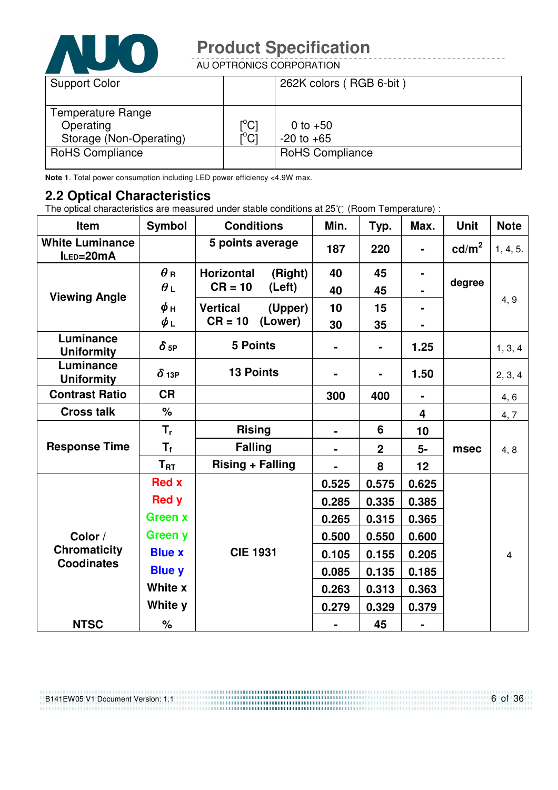

AU OPTRONICS CORPORATION

| <b>Support Color</b>                                      |                                                             | 262K colors (RGB 6-bit)      |
|-----------------------------------------------------------|-------------------------------------------------------------|------------------------------|
| Temperature Range<br>Operating<br>Storage (Non-Operating) | $\mathop{\rm l\hspace{0.05cm}}\nolimits^{\circ}$ Cl<br>i°ci | 0 to $+50$<br>$-20$ to $+65$ |
| <b>RoHS Compliance</b>                                    |                                                             | <b>RoHS Compliance</b>       |

**Note 1**. Total power consumption including LED power efficiency <4.9W max.

#### **2.2 Optical Characteristics**

The optical characteristics are measured under stable conditions at 25 $\degree$  (Room Temperature) :

| <b>Item</b>                         | <b>Symbol</b>  | <b>Conditions</b>            | Min.  | Typ.           | Max.                    | <b>Unit</b>       | <b>Note</b>    |
|-------------------------------------|----------------|------------------------------|-------|----------------|-------------------------|-------------------|----------------|
| <b>White Luminance</b><br>ILED=20mA |                | 5 points average             | 187   | 220            |                         | cd/m <sup>2</sup> | 1, 4, 5.       |
|                                     | $\theta$ R     | <b>Horizontal</b><br>(Right) | 40    | 45             |                         |                   |                |
| <b>Viewing Angle</b>                | $\theta_L$     | $CR = 10$<br>(Left)          | 40    | 45             |                         | degree            |                |
|                                     | $\phi$ н       | <b>Vertical</b><br>(Upper)   | 10    | 15             |                         |                   | 4, 9           |
|                                     | $\phi_L$       | $CR = 10$<br>(Lower)         | 30    | 35             |                         |                   |                |
| Luminance<br><b>Uniformity</b>      | $\delta$ 5P    | <b>5 Points</b>              |       | $\blacksquare$ | 1.25                    |                   | 1, 3, 4        |
| Luminance<br><b>Uniformity</b>      | $\delta$ 13P   | <b>13 Points</b>             |       |                | 1.50                    |                   | 2, 3, 4        |
| <b>Contrast Ratio</b>               | <b>CR</b>      |                              | 300   | 400            | $\blacksquare$          |                   | 4, 6           |
| <b>Cross talk</b>                   | $\%$           |                              |       |                | $\overline{\mathbf{4}}$ |                   | 4,7            |
|                                     | $T_{r}$        | <b>Rising</b>                |       | 6              | 10                      |                   | 4, 8           |
| <b>Response Time</b>                | $T_f$          | <b>Falling</b>               |       | $\overline{2}$ | 5-                      | msec              |                |
|                                     | $T_{\rm RT}$   | <b>Rising + Falling</b>      |       | 8              | 12                      |                   |                |
|                                     | <b>Red x</b>   |                              | 0.525 | 0.575          | 0.625                   |                   |                |
|                                     | <b>Red y</b>   |                              | 0.285 | 0.335          | 0.385                   |                   |                |
|                                     | <b>Green x</b> |                              | 0.265 | 0.315          | 0.365                   |                   |                |
| Color /                             | <b>Green y</b> |                              | 0.500 | 0.550          | 0.600                   |                   |                |
| <b>Chromaticity</b>                 | <b>Blue x</b>  | <b>CIE 1931</b>              | 0.105 | 0.155          | 0.205                   |                   | $\overline{4}$ |
| <b>Coodinates</b>                   | <b>Blue y</b>  |                              | 0.085 | 0.135          | 0.185                   |                   |                |
|                                     | White x        |                              | 0.263 | 0.313          | 0.363                   |                   |                |
|                                     | White y        |                              | 0.279 | 0.329          | 0.379                   |                   |                |
| <b>NTSC</b>                         | $\%$           |                              |       | 45             | $\blacksquare$          |                   |                |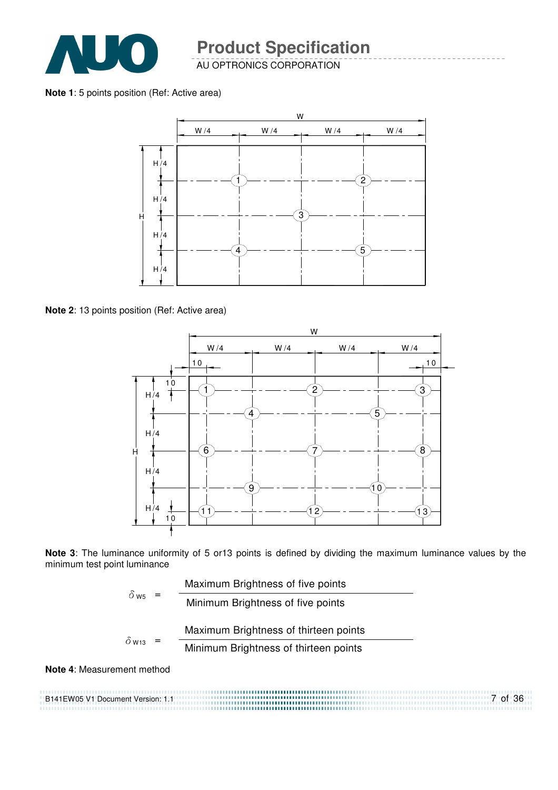

AU OPTRONICS CORPORATION

**Note 1**: 5 points position (Ref: Active area)



**Note 2**: 13 points position (Ref: Active area)



**Note 3**: The luminance uniformity of 5 or13 points is defined by dividing the maximum luminance values by the minimum test point luminance

|                          |  | Maximum Brightness of five points     |
|--------------------------|--|---------------------------------------|
| $\delta$ ws              |  | Minimum Brightness of five points     |
| $\delta$ W <sub>13</sub> |  | Maximum Brightness of thirteen points |
|                          |  | Minimum Brightness of thirteen points |
|                          |  |                                       |

#### **Note 4**: Measurement method

B141EW05 V1 Document Version: 1.1 7 of 36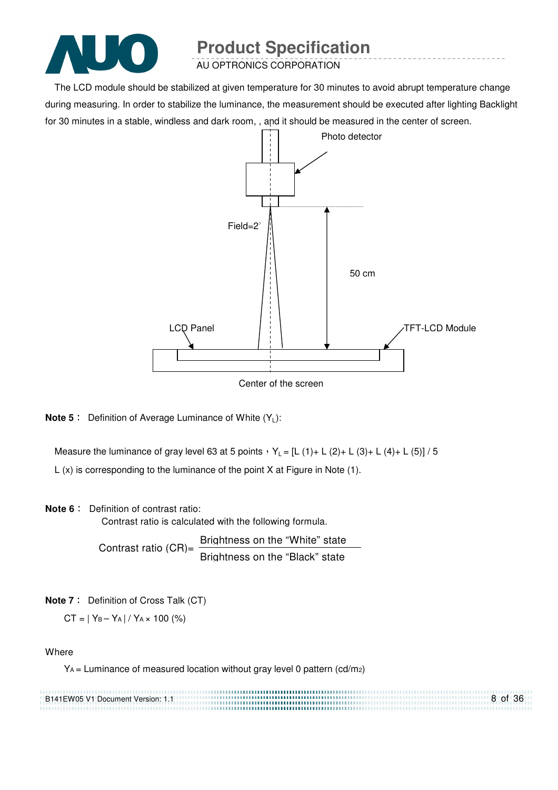

AU OPTRONICS CORPORATION

The LCD module should be stabilized at given temperature for 30 minutes to avoid abrupt temperature change during measuring. In order to stabilize the luminance, the measurement should be executed after lighting Backlight for 30 minutes in a stable, windless and dark room, , and it should be measured in the center of screen.



Center of the screen

**Note 5** : Definition of Average Luminance of White (Y<sub>L</sub>):

Measure the luminance of gray level 63 at 5 points  $Y_L = [L (1) + L (2) + L (3) + L (4) + L (5)] / 5$ L (x) is corresponding to the luminance of the point X at Figure in Note (1).

#### **Note 6** : Definition of contrast ratio:

Contrast ratio is calculated with the following formula.

Contrast ratio  $(CR)$ = Brightness on the "White" state Brightness on the "Black" state

**Note 7** : Definition of Cross Talk (CT)

 $CT = |Y_B - Y_A| / Y_A \times 100$  (%)

#### Where

YA = Luminance of measured location without gray level 0 pattern (cd/m2)

| B141EW05 V1 Document Version: 1.1 | 8 of 36 |
|-----------------------------------|---------|
|                                   |         |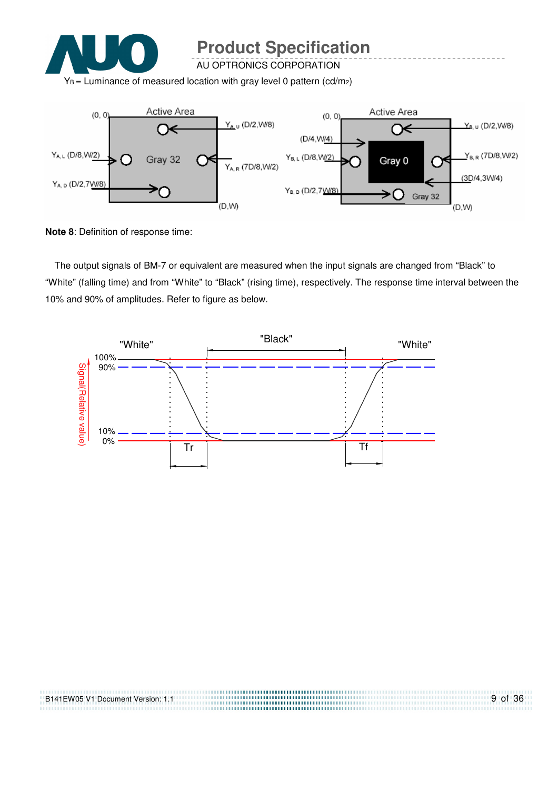

AU OPTRONICS CORPORATION

 $Y_B$  = Luminance of measured location with gray level 0 pattern (cd/m<sub>2</sub>)



**Note 8**: Definition of response time:

The output signals of BM-7 or equivalent are measured when the input signals are changed from "Black" to "White" (falling time) and from "White" to "Black" (rising time), respectively. The response time interval between the 10% and 90% of amplitudes. Refer to figure as below.



| B141EW05 V1 Document Version: 1.1 | 9 of 36 |
|-----------------------------------|---------|
|                                   |         |
|                                   |         |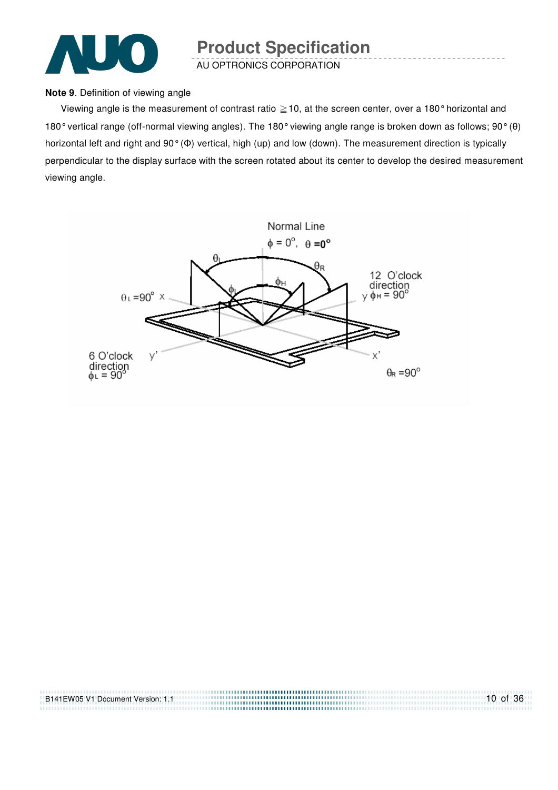

AU OPTRONICS CORPORATION

#### **Note 9**. Definition of viewing angle

Viewing angle is the measurement of contrast ratio  $\geq$  10, at the screen center, over a 180° horizontal and 180° vertical range (off-normal viewing angles). The 180° viewing angle range is broken down as follows; 90° (θ) horizontal left and right and 90° (Φ) vertical, high (up) and low (down). The measurement direction is typically perpendicular to the display surface with the screen rotated about its center to develop the desired measurement viewing angle.



| B141EW05 V1 Document Version: 1.1 | $10$ of 36 |
|-----------------------------------|------------|
|                                   |            |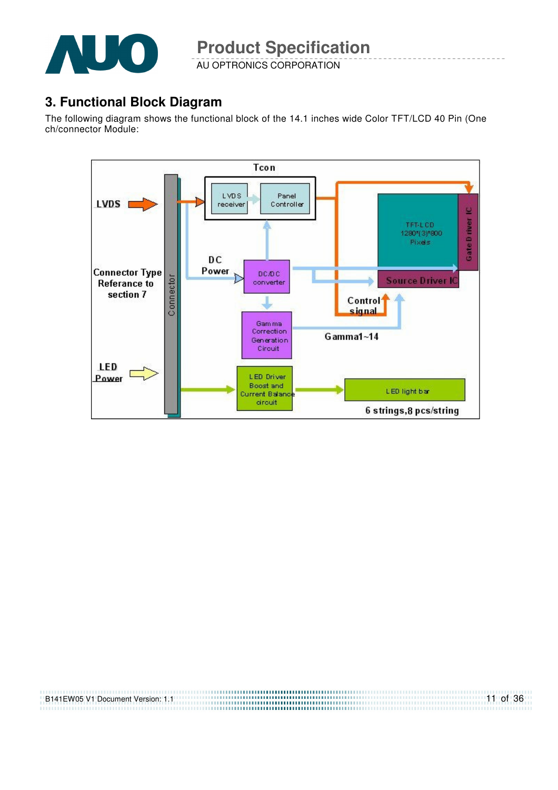

AU OPTRONICS CORPORATION

### **3. Functional Block Diagram**

The following diagram shows the functional block of the 14.1 inches wide Color TFT/LCD 40 Pin (One ch/connector Module:



| B141EW05 V1 Document Version: 1.1 |  |
|-----------------------------------|--|
|                                   |  |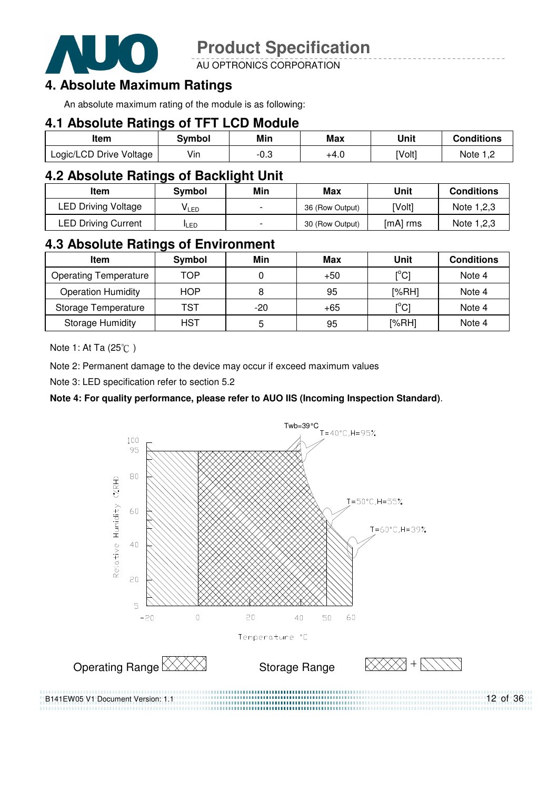

AU OPTRONICS CORPORATION

### **4. Absolute Maximum Ratings**

An absolute maximum rating of the module is as following:

### **4.1 Absolute Ratings of TFT LCD Module**

| ltem                    | Svmbol | Min  | Max  | Unit   | <b>Conditions</b> |
|-------------------------|--------|------|------|--------|-------------------|
| Logic/LCD Drive Voltage | Vin    | -0.3 | +4.0 | [Volt] | Note              |

### **4.2 Absolute Ratings of Backlight Unit**

| ltem                       | Svmbol     | Min                      | Max             | Unit     | <b>Conditions</b> |
|----------------------------|------------|--------------------------|-----------------|----------|-------------------|
| <b>LED Driving Voltage</b> | VLED       | $\overline{\phantom{0}}$ | 36 (Row Output) | [Volt]   | Note 1,2,3        |
| <b>LED Driving Current</b> | <b>LED</b> | $\overline{\phantom{0}}$ | 30 (Row Output) | [mA] rms | Note 1,2,3        |

### **4.3 Absolute Ratings of Environment**

| <b>Item</b>                  | Symbol     | Min   | Max   | Unit                           | <b>Conditions</b> |
|------------------------------|------------|-------|-------|--------------------------------|-------------------|
| <b>Operating Temperature</b> | TOP        |       | $+50$ | $\mathop{\rm l}{\rm c}{\rm l}$ | Note 4            |
| <b>Operation Humidity</b>    | <b>HOP</b> | 8     | 95    | [%RH]                          | Note 4            |
| Storage Temperature          | TST        | $-20$ | $+65$ | $\mathop{\rm l}{\rm c}{\rm l}$ | Note 4            |
| <b>Storage Humidity</b>      | HST        | 5     | 95    | [%RH]                          | Note 4            |

Note 1: At Ta (25°C)

Note 2: Permanent damage to the device may occur if exceed maximum values

Note 3: LED specification refer to section 5.2

#### **Note 4: For quality performance, please refer to AUO IIS (Incoming Inspection Standard)**.



12 of 36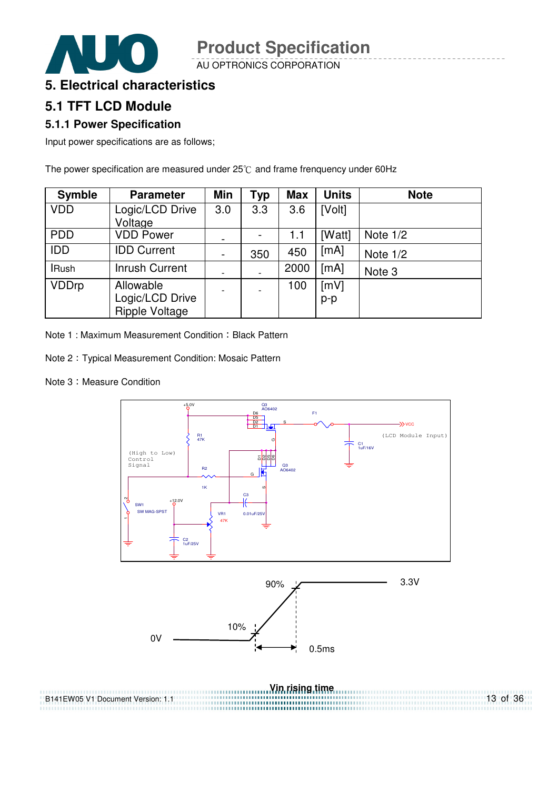AU OPTRONICS CORPORATION



### **5.1 TFT LCD Module**

#### **5.1.1 Power Specification**

Input power specifications are as follows;

The power specification are measured under  $25^{\circ}$ C and frame frenquency under 60Hz

| <b>Symble</b> | <b>Parameter</b>                               | <b>Min</b>               | Typ | <b>Max</b> | <b>Units</b> | <b>Note</b> |
|---------------|------------------------------------------------|--------------------------|-----|------------|--------------|-------------|
| <b>VDD</b>    | Logic/LCD Drive<br>Voltage                     | 3.0                      | 3.3 | 3.6        | [Volt]       |             |
| <b>PDD</b>    | <b>VDD Power</b>                               |                          |     | 1.1        | [Watt]       | Note $1/2$  |
| IDD           | <b>IDD Current</b>                             | $\overline{\phantom{a}}$ | 350 | 450        | [mA]         | Note $1/2$  |
| <b>IRush</b>  | <b>Inrush Current</b>                          | $\overline{\phantom{a}}$ |     | 2000       | [mA]         | Note 3      |
| <b>VDDrp</b>  | Allowable<br>Logic/LCD Drive<br>Ripple Voltage | $\blacksquare$           |     | 100        | [mV]<br>p-p  |             |

Note 1: Maximum Measurement Condition: Black Pattern

Note 2 : Typical Measurement Condition: Mosaic Pattern

Note 3: Measure Condition



13 of 36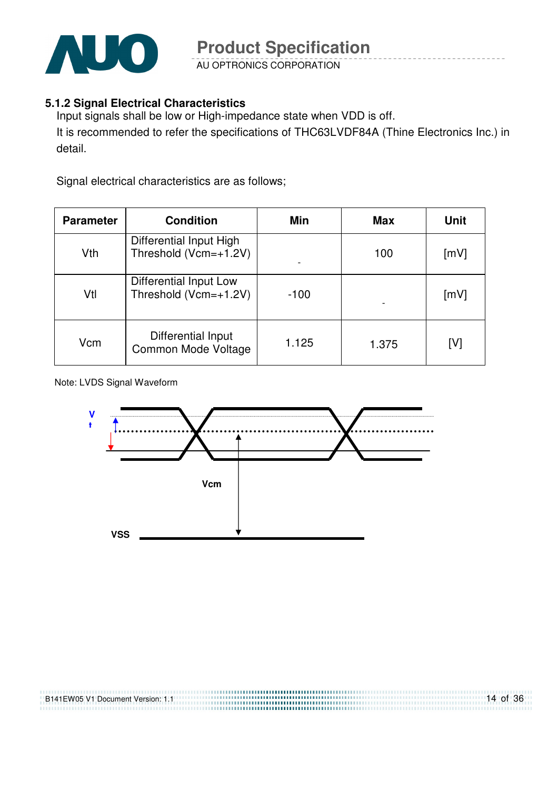

AU OPTRONICS CORPORATION

#### **5.1.2 Signal Electrical Characteristics**

Input signals shall be low or High-impedance state when VDD is off. It is recommended to refer the specifications of THC63LVDF84A (Thine Electronics Inc.) in detail.

Signal electrical characteristics are as follows;

| <b>Parameter</b> | <b>Condition</b>                                 | Min    | <b>Max</b> | Unit |
|------------------|--------------------------------------------------|--------|------------|------|
| Vth              | Differential Input High<br>Threshold (Vcm=+1.2V) |        | 100        | [mV] |
| Vtl              | Differential Input Low<br>Threshold (Vcm=+1.2V)  | $-100$ |            | [mV] |
| Vcm              | Differential Input<br>Common Mode Voltage        | 1.125  | 1.375      | [V]  |

Note: LVDS Signal Waveform

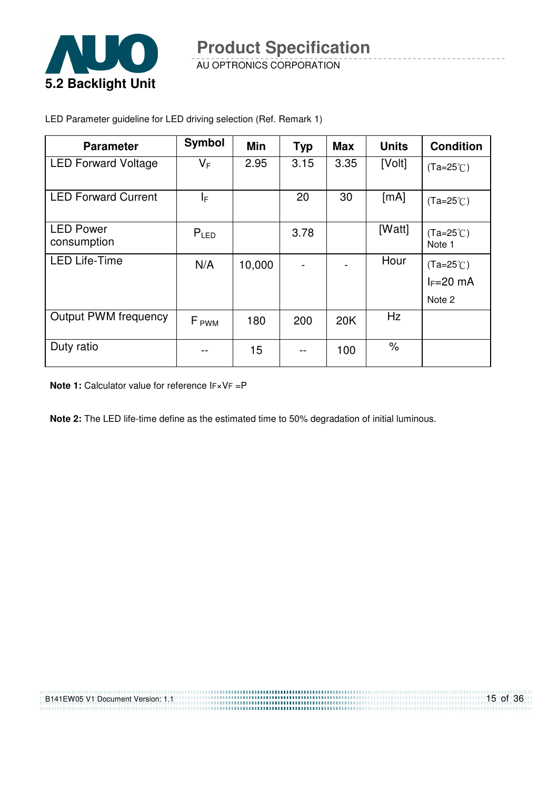

AU OPTRONICS CORPORATION

| <b>Parameter</b>                | <b>Symbol</b>    | Min    | <b>Typ</b> | <b>Max</b> | <b>Units</b>         | <b>Condition</b>                            |
|---------------------------------|------------------|--------|------------|------------|----------------------|---------------------------------------------|
| <b>LED Forward Voltage</b>      | $V_F$            | 2.95   | 3.15       | 3.35       | [Volt]               | $(Ta=25^{\circ}C)$                          |
| <b>LED Forward Current</b>      | I⊧.              |        | 20         | 30         | [mA]                 | $(Ta=25^{\circ}C)$                          |
| <b>LED Power</b><br>consumption | $P_{LED}$        |        | 3.78       |            | [Watt]               | $(Ta=25^{\circ}C)$<br>Note 1                |
| <b>LED Life-Time</b>            | N/A              | 10,000 |            |            | Hour                 | $(Ta=25^{\circ}C)$<br>$I_F=20$ mA<br>Note 2 |
| <b>Output PWM frequency</b>     | F <sub>PWM</sub> | 180    | 200        | 20K        | Hz                   |                                             |
| Duty ratio                      |                  | 15     |            | 100        | $\frac{1}{\sqrt{2}}$ |                                             |

LED Parameter guideline for LED driving selection (Ref. Remark 1)

**Note 1:** Calculator value for reference IF×VF =P

**Note 2:** The LED life-time define as the estimated time to 50% degradation of initial luminous.

......................... ,,,,,,,,,,,,,,,,,,,,,,,,,,,,

| B141EW05 V1 Document Version: 1.1<br><b>DITILITY OF FLOODING IT VEISION.</b> I.I. |  |
|-----------------------------------------------------------------------------------|--|
|                                                                                   |  |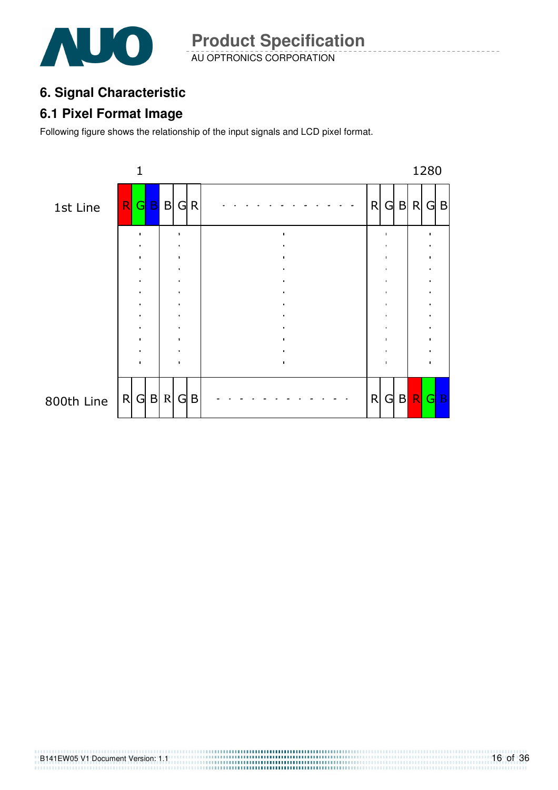

AU OPTRONICS CORPORATION **Product Specification** 

### **6. Signal Characteristic**

### **6.1 Pixel Format Image**

Following figure shows the relationship of the input signals and LCD pixel format.

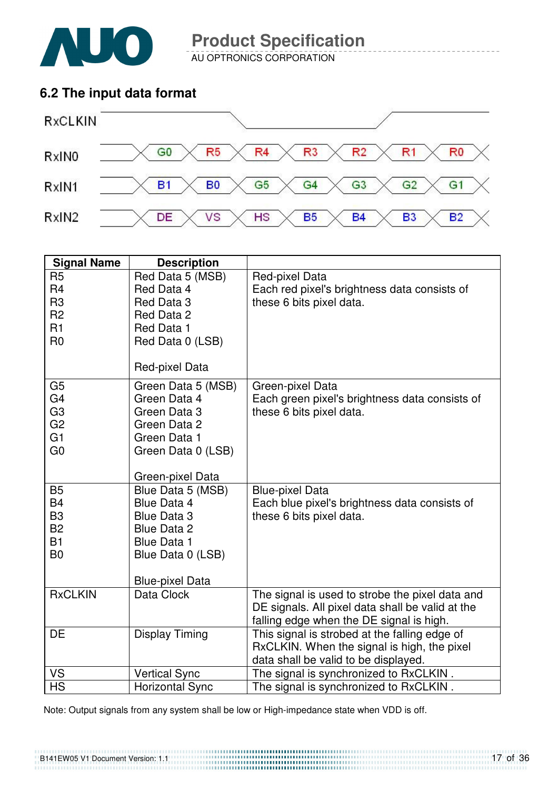

AU OPTRONICS CORPORATION

### **6.2 The input data format**



| <b>Signal Name</b>                                                                                       | <b>Description</b>                                                                                                                  |                                                                                                                                                 |
|----------------------------------------------------------------------------------------------------------|-------------------------------------------------------------------------------------------------------------------------------------|-------------------------------------------------------------------------------------------------------------------------------------------------|
| R <sub>5</sub><br>R <sub>4</sub><br>R <sub>3</sub><br>R <sub>2</sub><br>R1<br>R <sub>0</sub>             | Red Data 5 (MSB)<br>Red Data 4<br>Red Data 3<br>Red Data 2<br>Red Data 1<br>Red Data 0 (LSB)<br>Red-pixel Data                      | Red-pixel Data<br>Each red pixel's brightness data consists of<br>these 6 bits pixel data.                                                      |
| G <sub>5</sub><br>G <sub>4</sub><br>G <sub>3</sub><br>G <sub>2</sub><br>G <sub>1</sub><br>G <sub>0</sub> | Green Data 5 (MSB)<br>Green Data 4<br>Green Data 3<br>Green Data 2<br>Green Data 1<br>Green Data 0 (LSB)<br>Green-pixel Data        | Green-pixel Data<br>Each green pixel's brightness data consists of<br>these 6 bits pixel data.                                                  |
| <b>B5</b><br><b>B4</b><br>B <sub>3</sub><br><b>B2</b><br><b>B1</b><br>B <sub>0</sub>                     | Blue Data 5 (MSB)<br>Blue Data 4<br>Blue Data 3<br>Blue Data 2<br><b>Blue Data 1</b><br>Blue Data 0 (LSB)<br><b>Blue-pixel Data</b> | <b>Blue-pixel Data</b><br>Each blue pixel's brightness data consists of<br>these 6 bits pixel data.                                             |
| <b>RxCLKIN</b>                                                                                           | Data Clock                                                                                                                          | The signal is used to strobe the pixel data and<br>DE signals. All pixel data shall be valid at the<br>falling edge when the DE signal is high. |
| DE                                                                                                       | <b>Display Timing</b>                                                                                                               | This signal is strobed at the falling edge of<br>RxCLKIN. When the signal is high, the pixel<br>data shall be valid to be displayed.            |
| VS                                                                                                       | <b>Vertical Sync</b>                                                                                                                | The signal is synchronized to RxCLKIN.                                                                                                          |
| <b>HS</b>                                                                                                | <b>Horizontal Sync</b>                                                                                                              | The signal is synchronized to RxCLKIN.                                                                                                          |

Note: Output signals from any system shall be low or High-impedance state when VDD is off.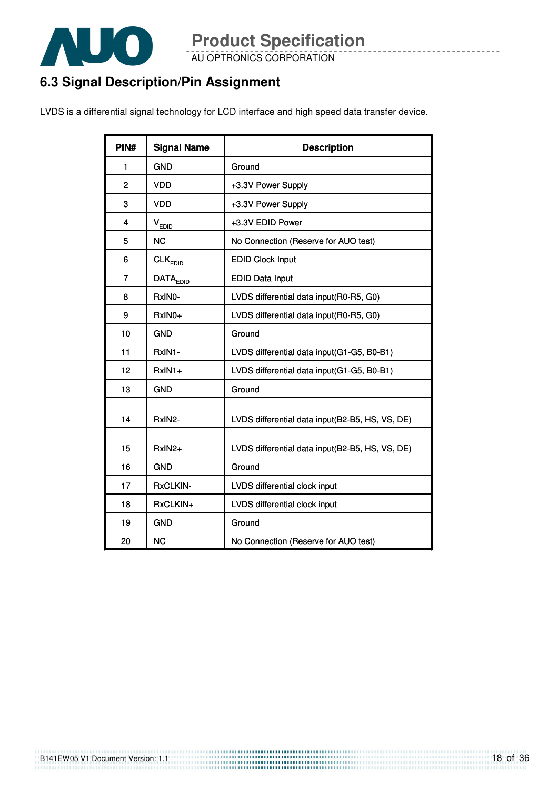

AU OPTRONICS CORPORATION

### **6.3 Signal Description/Pin Assignment**

LVDS is a differential signal technology for LCD interface and high speed data transfer device.

| PIN#           | <b>Signal Name</b>       | <b>Description</b>                              |
|----------------|--------------------------|-------------------------------------------------|
| 1              | <b>GND</b>               | Ground                                          |
| $\overline{2}$ | <b>VDD</b>               | +3.3V Power Supply                              |
| 3              | <b>VDD</b>               | +3.3V Power Supply                              |
| 4              | V <sub>EDID</sub>        | +3.3V EDID Power                                |
| 5              | <b>NC</b>                | No Connection (Reserve for AUO test)            |
| 6              | $CLK_{EDI\underline{D}}$ | <b>EDID Clock Input</b>                         |
| 7              | DATA <sub>EDD</sub>      | <b>EDID Data Input</b>                          |
| 8              | RxINO-                   | LVDS differential data input(R0-R5, G0)         |
| 9              | RxIN0+                   | LVDS differential data input(R0-R5, G0)         |
| 10             | <b>GND</b>               | Ground                                          |
| 11             | RxIN1-                   | LVDS differential data input(G1-G5, B0-B1)      |
| 12             | $RxIN1+$                 | LVDS differential data input(G1-G5, B0-B1)      |
| 13             | <b>GND</b>               | Ground                                          |
| 14             | RxIN2-                   | LVDS differential data input(B2-B5, HS, VS, DE) |
| 15             | RxIN2+                   | LVDS differential data input(B2-B5, HS, VS, DE) |
| 16             | <b>GND</b>               | Ground                                          |
| 17             | RxCLKIN-                 | LVDS differential clock input                   |
| 18             | RxCLKIN+                 | LVDS differential clock input                   |
| 19             | <b>GND</b>               | Ground                                          |
| 20             | <b>NC</b>                | No Connection (Reserve for AUO test)            |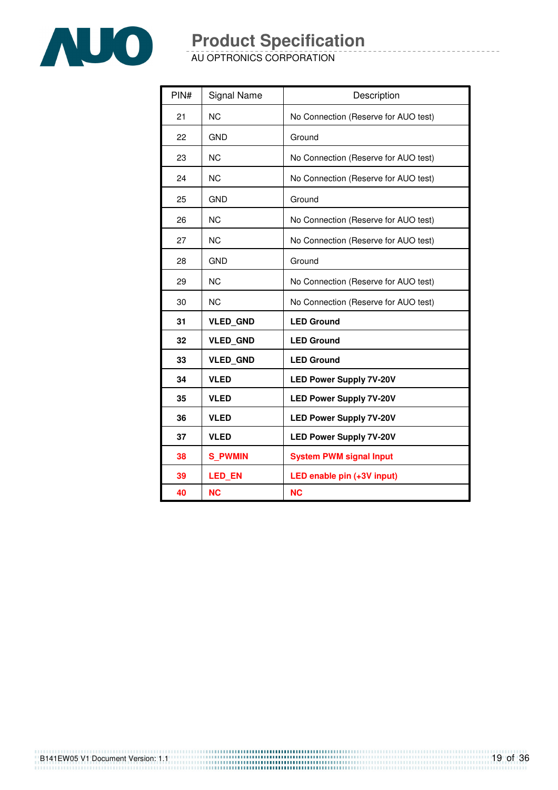

AU OPTRONICS CORPORATION

| PIN# | Signal Name     | Description                          |
|------|-----------------|--------------------------------------|
| 21   | <b>NC</b>       | No Connection (Reserve for AUO test) |
| 22   | <b>GND</b>      | Ground                               |
| 23   | <b>NC</b>       | No Connection (Reserve for AUO test) |
| 24   | <b>NC</b>       | No Connection (Reserve for AUO test) |
| 25   | <b>GND</b>      | Ground                               |
| 26   | <b>NC</b>       | No Connection (Reserve for AUO test) |
| 27   | <b>NC</b>       | No Connection (Reserve for AUO test) |
| 28   | <b>GND</b>      | Ground                               |
| 29   | <b>NC</b>       | No Connection (Reserve for AUO test) |
| 30   | <b>NC</b>       | No Connection (Reserve for AUO test) |
| 31   | <b>VLED GND</b> | <b>LED Ground</b>                    |
| 32   | <b>VLED GND</b> | <b>LED Ground</b>                    |
| 33   | <b>VLED GND</b> | <b>LED Ground</b>                    |
| 34   | <b>VLED</b>     | <b>LED Power Supply 7V-20V</b>       |
| 35   | <b>VLED</b>     | <b>LED Power Supply 7V-20V</b>       |
| 36   | <b>VLED</b>     | <b>LED Power Supply 7V-20V</b>       |
| 37   | <b>VLED</b>     | <b>LED Power Supply 7V-20V</b>       |
| 38   | <b>S PWMIN</b>  | <b>System PWM signal Input</b>       |
| 39   | <b>LED EN</b>   | LED enable pin (+3V input)           |
| 40   | <b>NC</b>       | <b>NC</b>                            |

19 of 36 B141EW05 V1 Document Version: 1.1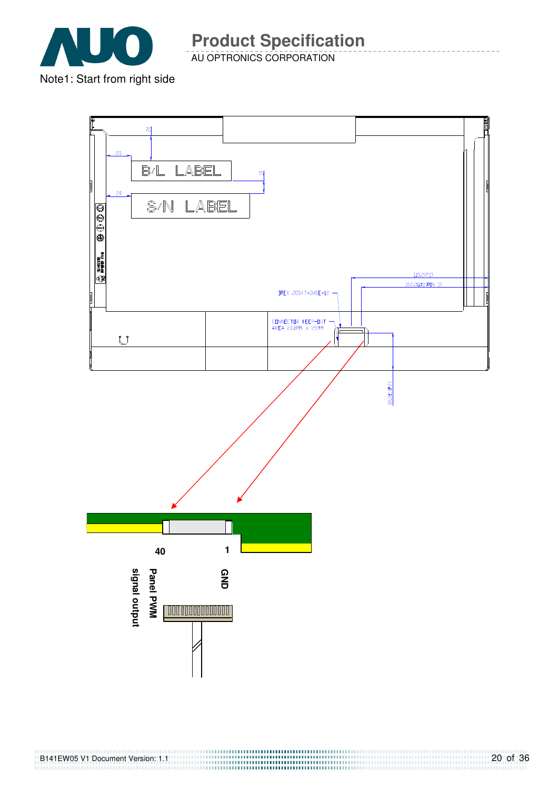

AU OPTRONICS CORPORATION

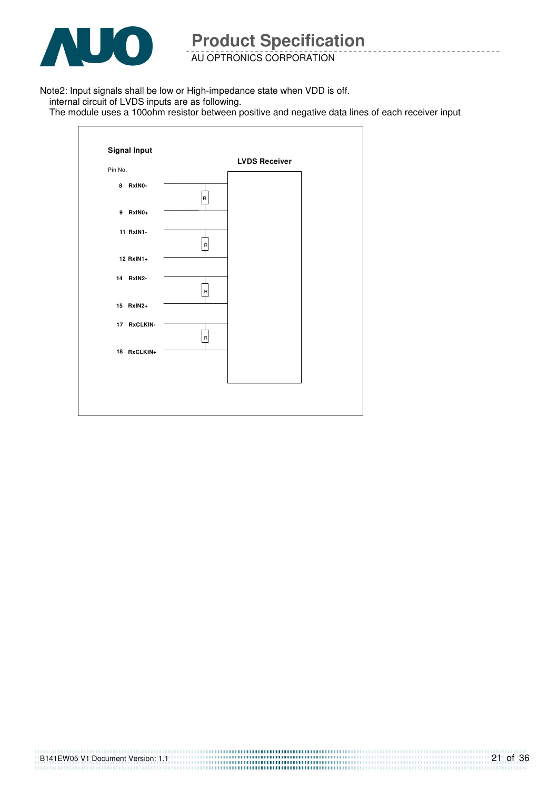

 $\mathbf{r}$ 

**Product Specification** 

AU OPTRONICS CORPORATION

Note2: Input signals shall be low or High-impedance state when VDD is off.

internal circuit of LVDS inputs are as following.

The module uses a 100ohm resistor between positive and negative data lines of each receiver input

|             |                         | <b>LVDS Receiver</b> |  |
|-------------|-------------------------|----------------------|--|
| Pin No.     |                         |                      |  |
| 8 RxINO-    | $\overline{R}$          |                      |  |
| 9 RxIN0+    |                         |                      |  |
| 11 RxIN1-   | $\overline{\mathsf{R}}$ |                      |  |
| 12 RxIN1+   |                         |                      |  |
| 14 RxIN2-   | $\mathsf R$             |                      |  |
| 15 RxIN2+   |                         |                      |  |
| 17 RxCLKIN- | $\mathsf{R}$            |                      |  |
| 18 RxCLKIN+ |                         |                      |  |
|             |                         |                      |  |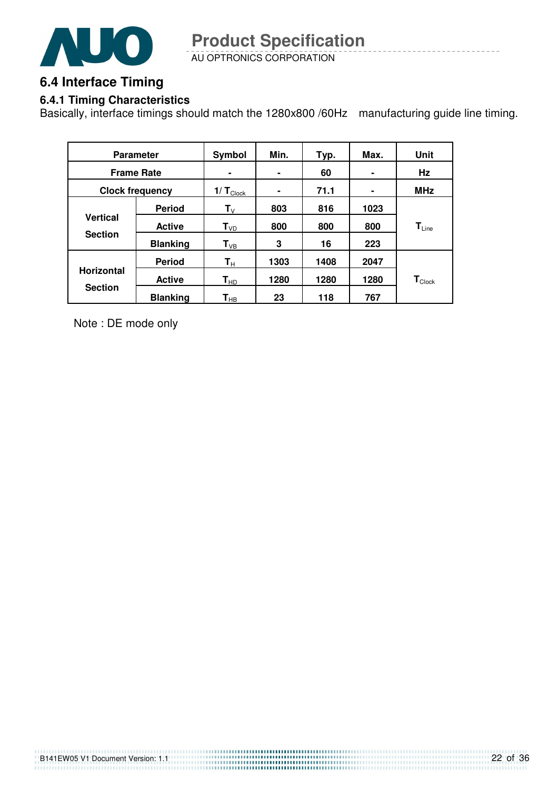

AU OPTRONICS CORPORATION **Product Specification** 

### **6.4 Interface Timing**

#### **6.4.1 Timing Characteristics**

Basically, interface timings should match the 1280x800 /60Hz manufacturing guide line timing.

| <b>Parameter</b>  |                        | Symbol                  | Min. | Typ. | Max. | Unit                         |
|-------------------|------------------------|-------------------------|------|------|------|------------------------------|
| <b>Frame Rate</b> |                        | ۰                       | ۰    | 60   |      | Hz                           |
|                   | <b>Clock frequency</b> | $1/T_{\text{Clock}}$    | ۰    | 71.1 | ۰    | <b>MHz</b>                   |
|                   | <b>Period</b>          | $\mathsf{T}_\mathsf{V}$ | 803  | 816  | 1023 |                              |
| <b>Vertical</b>   | <b>Active</b>          | $T_{VD}$                | 800  | 800  | 800  | $\mathbf{T}_{\mathsf{Line}}$ |
| <b>Section</b>    | <b>Blanking</b>        | $T_{VB}$                | 3    | 16   | 223  |                              |
|                   | <b>Period</b>          | $\mathsf{T}_\mathsf{H}$ | 1303 | 1408 | 2047 |                              |
| <b>Horizontal</b> | <b>Active</b>          | $T_{HD}$                | 1280 | 1280 | 1280 | $\mathbf{T}_{\text{Clock}}$  |
| <b>Section</b>    | <b>Blanking</b>        | $\textsf{T}_{\sf HB}$   | 23   | 118  | 767  |                              |

Note : DE mode only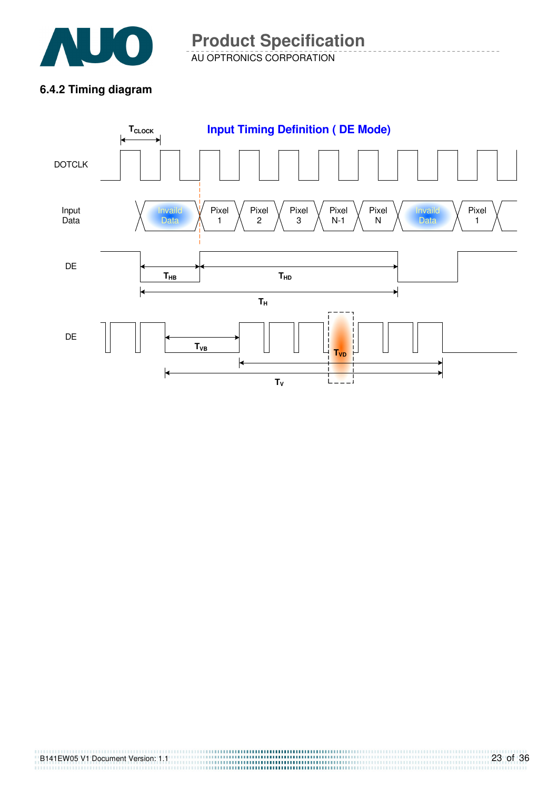

AU OPTRONICS CORPORATION **Product Specification** 

### **6.4.2 Timing diagram**

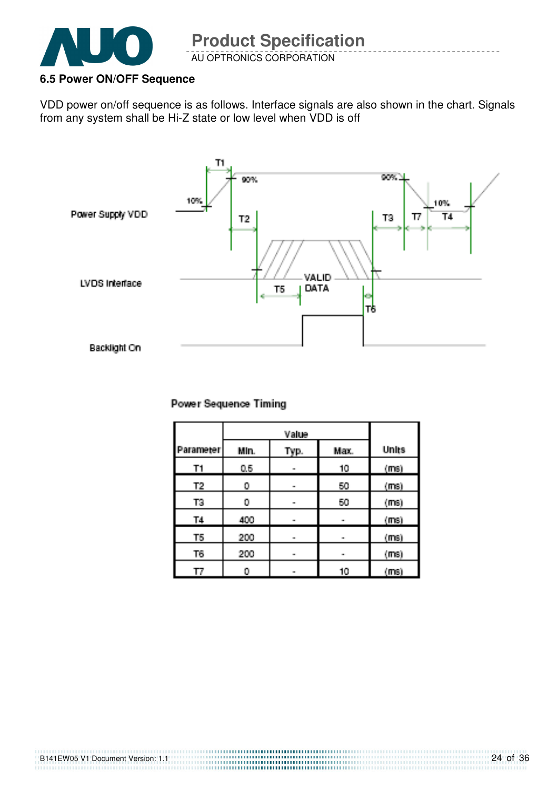

### **6.5 Power ON/OFF Sequence**

VDD power on/off sequence is as follows. Interface signals are also shown in the chart. Signals from any system shall be Hi-Z state or low level when VDD is off



#### **Power Sequence Timing**

| Parameter) | Min. | Typ. | Max. | <b>Units</b> |
|------------|------|------|------|--------------|
| T1         | 0.5  | m.   | 10   | (ms)         |
| Τ2,        | 0    | m.   | 50   | (ms)         |
| T3         | 0    | -    | 50   | $(m_3)$      |
| <b>T4</b>  | 400  | m.   |      | (ms)         |
| T5         | 200  | m.   | m.   | (ms)         |
| T6,        | 200  | m.   | œ.   | (ms)         |
| ΤТ         | 0    | œ.   | 10   | (maj)        |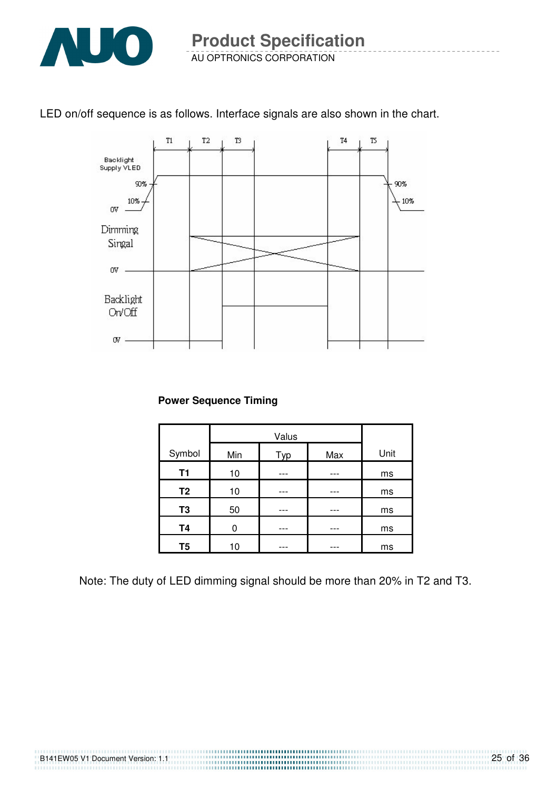

### LED on/off sequence is as follows. Interface signals are also shown in the chart.



#### **Power Sequence Timing**

| Symbol         | Min | Typ | Max | Unit |
|----------------|-----|-----|-----|------|
| T1             | 10  |     |     | ms   |
| T <sub>2</sub> | 10  |     |     | ms   |
| T <sub>3</sub> | 50  |     |     | ms   |
| <b>T4</b>      | 0   |     |     | ms   |
| T <sub>5</sub> | 10  |     |     | ms   |

Note: The duty of LED dimming signal should be more than 20% in T2 and T3.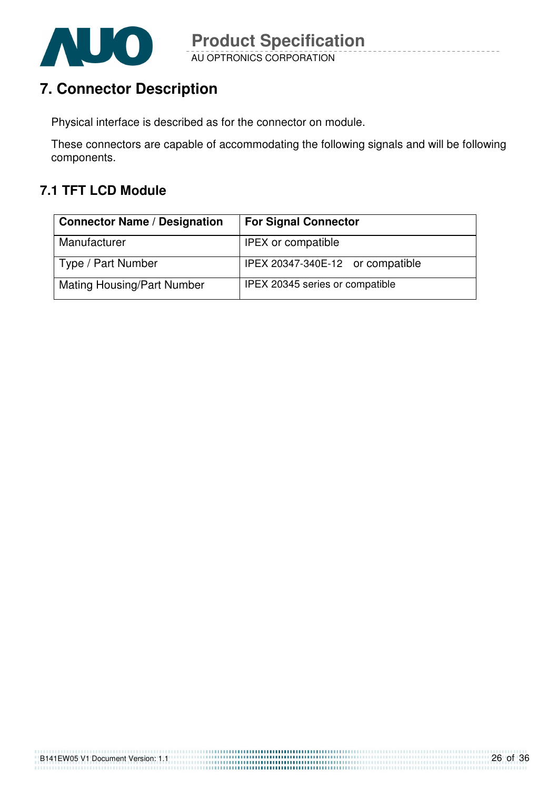

### **7. Connector Description**

Physical interface is described as for the connector on module.

These connectors are capable of accommodating the following signals and will be following components.

### **7.1 TFT LCD Module**

| <b>Connector Name / Designation</b> | <b>For Signal Connector</b>      |
|-------------------------------------|----------------------------------|
| Manufacturer                        | <b>IPEX or compatible</b>        |
| Type / Part Number                  | IPEX 20347-340E-12 or compatible |
| <b>Mating Housing/Part Number</b>   | IPEX 20345 series or compatible  |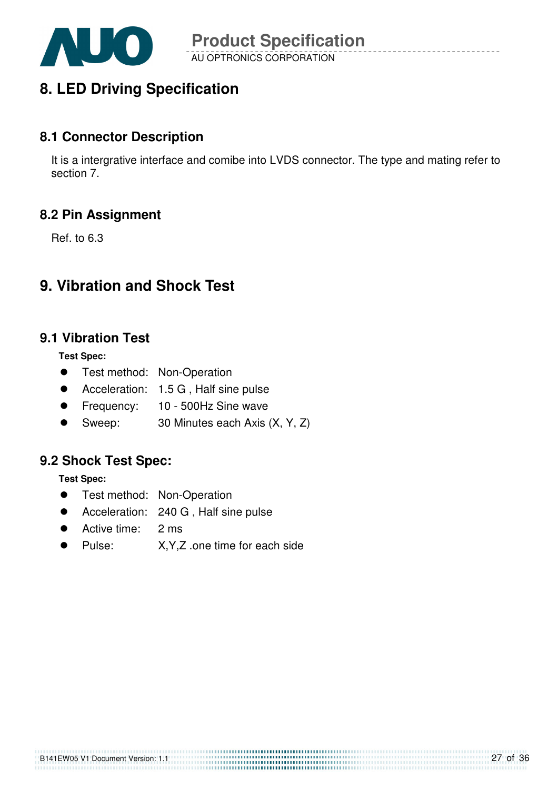

### **8. LED Driving Specification**

### **8.1 Connector Description**

It is a intergrative interface and comibe into LVDS connector. The type and mating refer to section 7.

### **8.2 Pin Assignment**

Ref. to 6.3

### **9. Vibration and Shock Test**

### **9.1 Vibration Test**

**Test Spec:** 

- **•** Test method: Non-Operation
- Acceleration: 1.5 G, Half sine pulse
- **•** Frequency: 10 500Hz Sine wave
- Sweep: 30 Minutes each Axis (X, Y, Z)

### **9.2 Shock Test Spec:**

**Test Spec:** 

- **•** Test method: Non-Operation
- Acceleration: 240 G, Half sine pulse
- Active time: 2 ms
- Pulse: X,Y,Z .one time for each side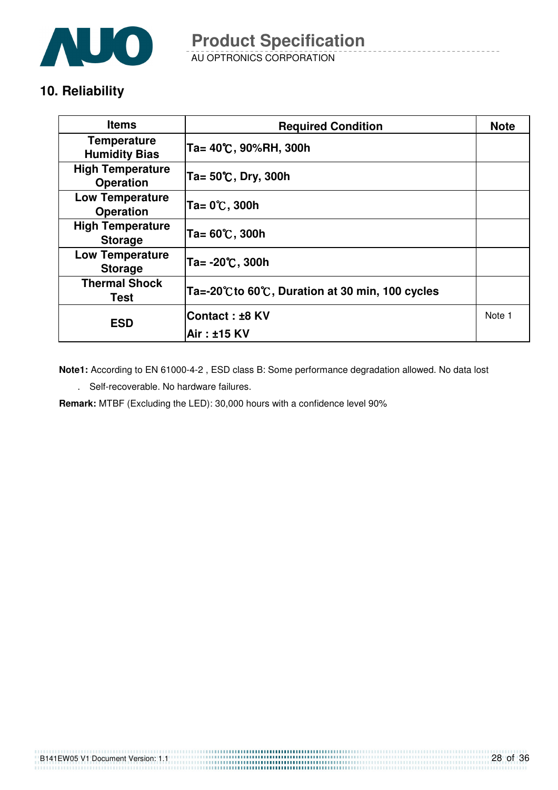

AU OPTRONICS CORPORATION

### **10. Reliability**

| <b>Items</b>                                | <b>Required Condition</b>                     | <b>Note</b> |
|---------------------------------------------|-----------------------------------------------|-------------|
| <b>Temperature</b><br><b>Humidity Bias</b>  | Ta= 40℃, 90%RH, 300h                          |             |
| <b>High Temperature</b><br><b>Operation</b> | Ta= 50℃, Dry, 300h                            |             |
| <b>Low Temperature</b><br><b>Operation</b>  | Ta= 0℃, 300h                                  |             |
| <b>High Temperature</b><br><b>Storage</b>   | Ta= 60℃, 300h                                 |             |
| <b>Low Temperature</b><br><b>Storage</b>    | Ta= -20℃, 300h                                |             |
| <b>Thermal Shock</b><br>Test                | Ta=-20℃to 60℃, Duration at 30 min, 100 cycles |             |
| <b>ESD</b>                                  | <b>Contact:±8 KV</b>                          | Note 1      |
|                                             | Air : ±15 KV                                  |             |

**Note1:** According to EN 61000-4-2 , ESD class B: Some performance degradation allowed. No data lost

. Self-recoverable. No hardware failures.

**Remark:** MTBF (Excluding the LED): 30,000 hours with a confidence level 90%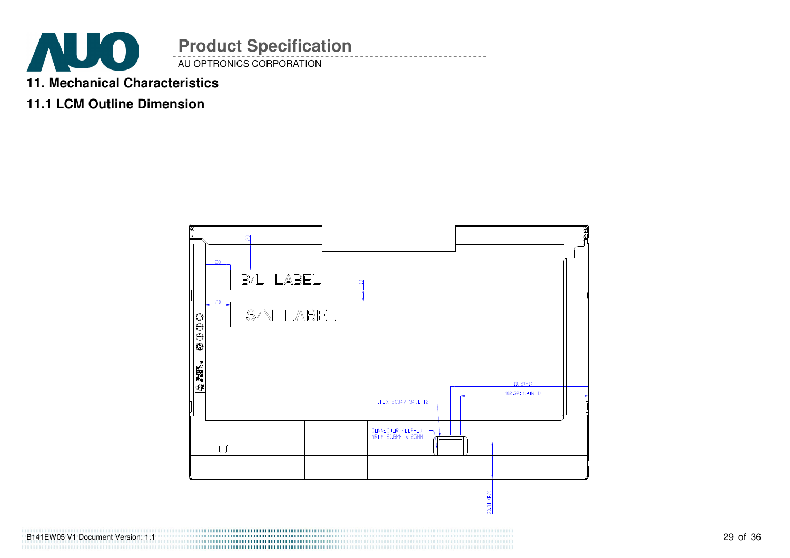

- **11. Mechanical Characteristics**
- **11.1 LCM Outline Dimension**



B141EW05 V1 Document Version: 1.1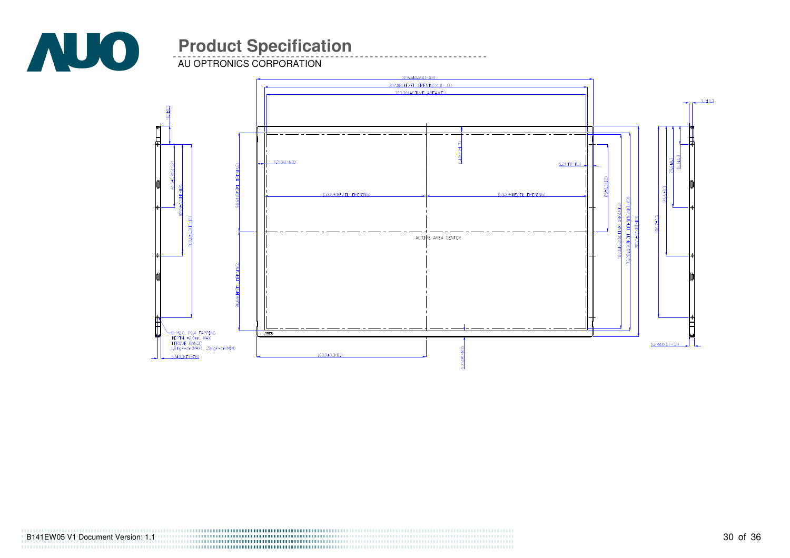

AU OPTRONICS CORPORATION



B141EW05 V1 Document Version: 1.1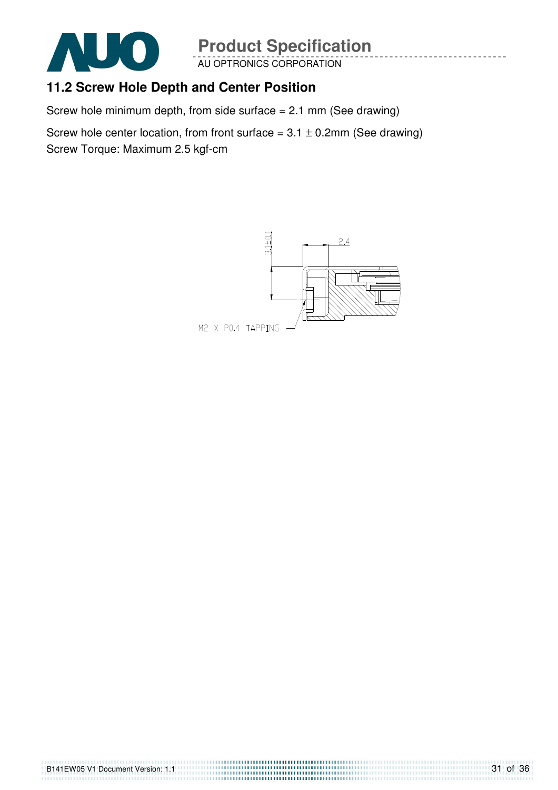

AU OPTRONICS CORPORATION

### **11.2 Screw Hole Depth and Center Position**

Screw hole minimum depth, from side surface = 2.1 mm (See drawing)

Screw hole center location, from front surface =  $3.1 \pm 0.2$ mm (See drawing) Screw Torque: Maximum 2.5 kgf-cm

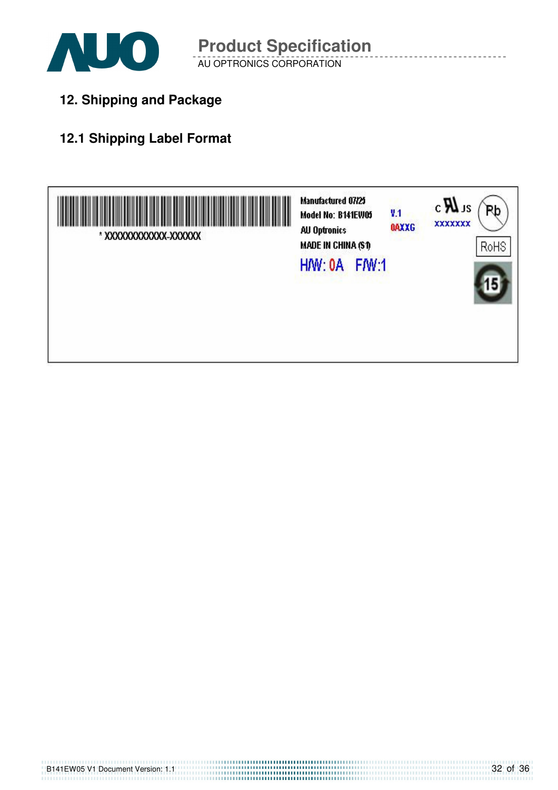

**12. Shipping and Package**

### **12.1 Shipping Label Format**

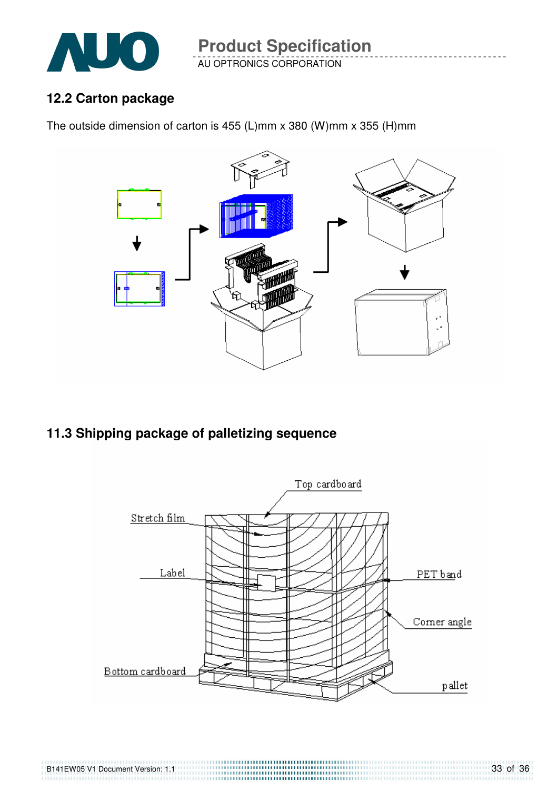

### **12.2 Carton package**

The outside dimension of carton is 455 (L)mm x 380 (W)mm x 355 (H)mm



**11.3 Shipping package of palletizing sequence** 

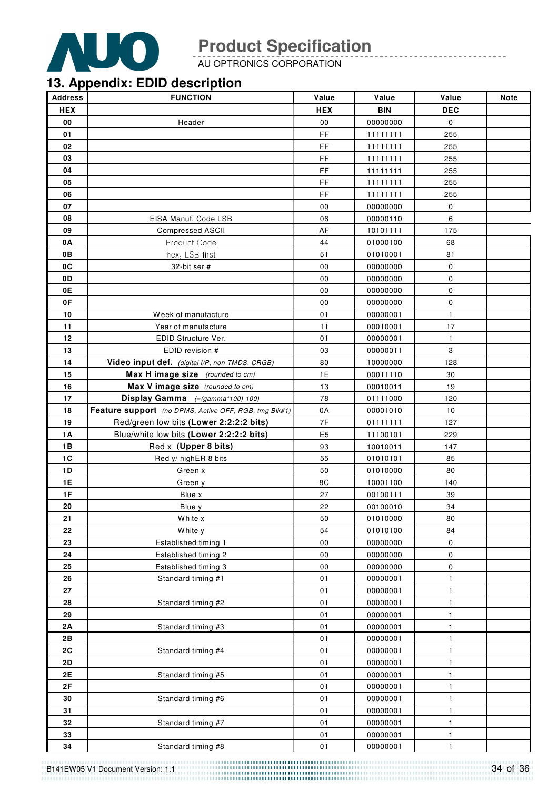

AU OPTRONICS CORPORATION

### **13. Appendix: EDID description**

| <b>Address</b> | <b>FUNCTION</b>                                       | Value          | Value      | Value        | <b>Note</b> |
|----------------|-------------------------------------------------------|----------------|------------|--------------|-------------|
| <b>HEX</b>     |                                                       | <b>HEX</b>     | <b>BIN</b> | <b>DEC</b>   |             |
| 00             | Header                                                | ${\bf 00}$     | 00000000   | $\mathbf 0$  |             |
| 01             |                                                       | FF             | 11111111   | 255          |             |
| 02             |                                                       | FF             | 11111111   | 255          |             |
| 03             |                                                       | FF             | 11111111   | 255          |             |
| 04             |                                                       | FF             | 11111111   | 255          |             |
| 05             |                                                       | FF.            | 11111111   | 255          |             |
| 06             |                                                       | FF             | 11111111   | 255          |             |
| 07             |                                                       | 00             | 00000000   | 0            |             |
| 08             | EISA Manuf. Code LSB                                  | 06             | 00000110   | 6            |             |
| 09             | <b>Compressed ASCII</b>                               | AF             | 10101111   | 175          |             |
| 0A             | Product Code                                          | 44             | 01000100   | 68           |             |
| 0B             | hex, LSB first                                        | 51             | 01010001   | 81           |             |
| 0C             | 32-bit ser #                                          | 00             | 00000000   | $\pmb{0}$    |             |
| 0D             |                                                       | 00             | 00000000   | 0            |             |
| 0E             |                                                       | 00             | 00000000   | 0            |             |
| 0F             |                                                       | 00             | 00000000   | 0            |             |
| 10             | Week of manufacture                                   | 01             | 00000001   | $\mathbf{1}$ |             |
| 11             | Year of manufacture                                   | 11             | 00010001   | 17           |             |
| 12             | EDID Structure Ver.                                   | 01             | 00000001   | $\mathbf{1}$ |             |
| 13             | EDID revision #                                       | 03             | 00000011   | 3            |             |
| 14             | Video input def. (digital I/P, non-TMDS, CRGB)        | 80             | 10000000   | 128          |             |
| 15             | Max H image size (rounded to cm)                      | 1E             | 00011110   | 30           |             |
| 16             | Max V image size (rounded to cm)                      | 13             | 00010011   | 19           |             |
| 17             | Display Gamma (=(gamma*100)-100)                      | 78             | 01111000   | 120          |             |
| 18             | Feature support (no DPMS, Active OFF, RGB, tmg Blk#1) | 0A             | 00001010   | 10           |             |
| 19             | Red/green low bits (Lower 2:2:2:2 bits)               | 7F             | 01111111   | 127          |             |
| 1A             | Blue/white low bits (Lower 2:2:2:2 bits)              | E <sub>5</sub> | 11100101   | 229          |             |
| 1B             | Red x (Upper 8 bits)                                  | 93             | 10010011   | 147          |             |
| 1C             | Red y/ highER 8 bits                                  | 55             | 01010101   | 85           |             |
| <b>1D</b>      | Green x                                               | 50             | 01010000   | 80           |             |
| 1E             | Green y                                               | 8C             | 10001100   | 140          |             |
| 1F             | Blue x                                                | 27             | 00100111   | 39           |             |
| 20             | Blue y                                                | 22             | 00100010   | 34           |             |
| 21             | White x                                               | 50             | 01010000   | 80           |             |
| 22             | White y                                               | 54             | 01010100   | 84           |             |
| 23             | Established timing 1                                  | 00             | 00000000   | 0            |             |
| 24             | Established timing 2                                  | 00             | 00000000   | 0            |             |
| 25             | Established timing 3                                  | 00             | 00000000   | 0            |             |
| 26             | Standard timing #1                                    | 01             | 00000001   | $\mathbf{1}$ |             |
| 27             |                                                       | 01             | 00000001   | 1            |             |
| 28             | Standard timing #2                                    | 01             | 00000001   | $\mathbf{1}$ |             |
| 29             |                                                       | 01             | 00000001   | $\mathbf{1}$ |             |
| 2A             | Standard timing #3                                    | 01             | 00000001   | $\mathbf{1}$ |             |
| 2B             |                                                       | 01             | 00000001   | $\mathbf{1}$ |             |
| 2C             | Standard timing #4                                    | 01             | 00000001   | $\mathbf{1}$ |             |
| 2D             |                                                       | 01             | 00000001   | $\mathbf{1}$ |             |
| 2E             | Standard timing #5                                    | 01             | 00000001   | $\mathbf{1}$ |             |
| 2F             |                                                       | 01             | 00000001   | 1            |             |
| 30             | Standard timing #6                                    | 01             | 00000001   | $\mathbf{1}$ |             |
| 31             |                                                       | 01             | 00000001   | $\mathbf{1}$ |             |
| 32             | Standard timing #7                                    | 01             | 00000001   | $\mathbf{1}$ |             |
| 33             |                                                       | 01             | 00000001   | $\mathbf{1}$ |             |
| 34             | Standard timing #8                                    | 01             | 00000001   | 1            |             |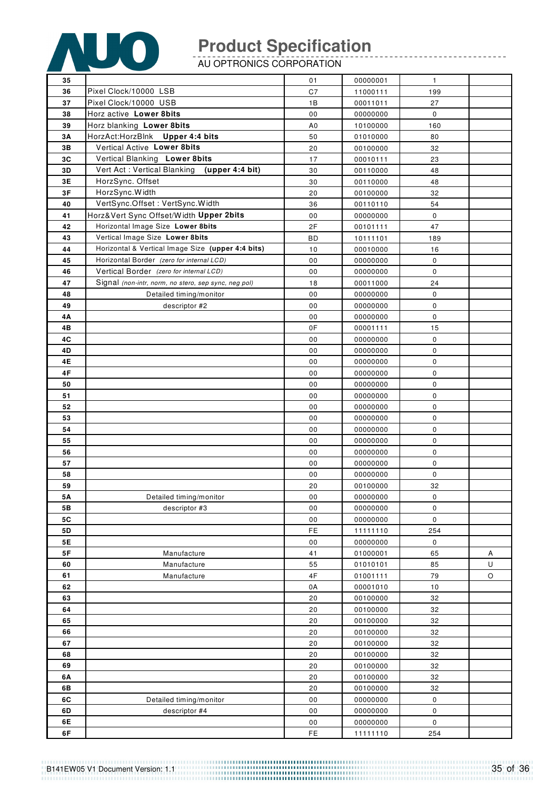

AU OPTRONICS CORPORATION

| 35        |                                                      | 01             | 00000001             | $\mathbf{1}$ |   |
|-----------|------------------------------------------------------|----------------|----------------------|--------------|---|
| 36        | Pixel Clock/10000 LSB                                | C7             | 11000111             | 199          |   |
| 37        | Pixel Clock/10000 USB                                | 1B             | 00011011             | 27           |   |
| 38        | Horz active Lower 8bits                              | 00             | 00000000             | $\mathbf 0$  |   |
| 39        | Horz blanking Lower 8bits                            | A <sub>0</sub> | 10100000             | 160          |   |
| 3A        | HorzAct:HorzBlnk Upper 4:4 bits                      | 50             | 01010000             | 80           |   |
| 3B        | Vertical Active Lower 8bits                          | 20             | 00100000             | 32           |   |
| 3C        | Vertical Blanking Lower 8bits                        | 17             | 00010111             | 23           |   |
| 3D        | Vert Act: Vertical Blanking<br>(upper 4:4 bit)       | 30             | 00110000             | 48           |   |
| 3E        | HorzSync. Offset                                     | 30             |                      |              |   |
| 3F        |                                                      |                | 00110000<br>00100000 | 48           |   |
|           | HorzSync.Width<br>VertSync.Offset: VertSync.Width    | 20             |                      | 32           |   |
| 40        |                                                      | 36             | 00110110             | 54           |   |
| 41        | Horz‖ Sync Offset/Width Upper 2bits                  | 00             | 00000000             | 0            |   |
| 42        | Horizontal Image Size Lower 8bits                    | 2F             | 00101111             | 47           |   |
| 43        | Vertical Image Size Lower 8bits                      | ВD             | 10111101             | 189          |   |
| 44        | Horizontal & Vertical Image Size (upper 4:4 bits)    | 10             | 00010000             | 16           |   |
| 45        | Horizontal Border (zero for internal LCD)            | 00             | 00000000             | 0            |   |
| 46        | Vertical Border (zero for internal LCD)              | 00             | 00000000             | 0            |   |
| 47        | Signal (non-intr, norm, no stero, sep sync, neg pol) | 18             | 00011000             | 24           |   |
| 48        | Detailed timing/monitor                              | 00             | 00000000             | 0            |   |
| 49        | descriptor #2                                        | 00             | 00000000             | 0            |   |
| 4A        |                                                      | 00             | 00000000             | 0            |   |
| 4B        |                                                      | 0F             | 00001111             | 15           |   |
| 4C        |                                                      | 00             | 00000000             | 0            |   |
| 4D        |                                                      | 00             | 00000000             | 0            |   |
| 4E        |                                                      | 00             | 00000000             | 0            |   |
| 4F        |                                                      | 00             | 00000000             | 0            |   |
| 50        |                                                      | 00             | 00000000             | 0            |   |
| 51        |                                                      | 00             | 00000000             | 0            |   |
| 52        |                                                      | 00             | 00000000             | 0            |   |
| 53        |                                                      | 00             | 00000000             | 0            |   |
| 54        |                                                      | 00             | 00000000             | 0            |   |
| 55        |                                                      | 00             | 00000000             | 0            |   |
| 56        |                                                      | 00             | 00000000             | 0            |   |
| 57        |                                                      | 00             | 00000000             | 0            |   |
| 58        |                                                      | 00             | 00000000             | 0            |   |
| 59        |                                                      | 20             | 00100000             | 32           |   |
| <b>5A</b> | Detailed timing/monitor                              | 00             | 00000000             | 0            |   |
| 5B        | descriptor #3                                        | 00             | 00000000             | $\pmb{0}$    |   |
| 5C        |                                                      | 00             | 00000000             | $\pmb{0}$    |   |
| 5D        |                                                      | FE             | 11111110             | 254          |   |
| 5E        |                                                      | 00             | 00000000             | 0            |   |
| 5F        | Manufacture                                          | 41             | 01000001             | 65           | Α |
| 60        | Manufacture                                          | 55             | 01010101             | 85           | U |
| 61        | Manufacture                                          | 4F             | 01001111             | 79           | O |
| 62        |                                                      | 0A             | 00001010             | 10           |   |
| 63        |                                                      | 20             | 00100000             | 32           |   |
| 64        |                                                      | 20             | 00100000             | 32           |   |
| 65        |                                                      | 20             | 00100000             | 32           |   |
| 66        |                                                      | 20             | 00100000             | 32           |   |
| 67        |                                                      | 20             | 00100000             | 32           |   |
| 68        |                                                      | 20             | 00100000             | 32           |   |
| 69        |                                                      | 20             | 00100000             | 32           |   |
| 6A        |                                                      | 20             | 00100000             | 32           |   |
| 6B        |                                                      | 20             | 00100000             | 32           |   |
| 6C        | Detailed timing/monitor                              | 00             | 00000000             | 0            |   |
| 6D<br>6E  | descriptor #4                                        | 00             | 00000000<br>00000000 | 0            |   |
| 6F        |                                                      | 00<br>FE       | 11111110             | 0<br>254     |   |
|           |                                                      |                |                      |              |   |

------------